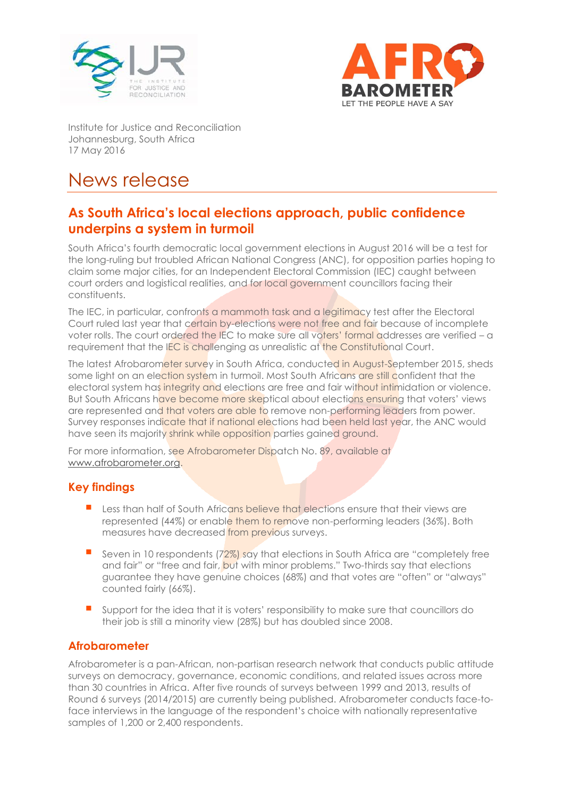



Institute for Justice and Reconciliation Johannesburg, South Africa 17 May 2016

# News release

## **As South Africa's local elections approach, public confidence underpins a system in turmoil**

South Africa's fourth democratic local government elections in August 2016 will be a test for the long-ruling but troubled African National Congress (ANC), for opposition parties hoping to claim some major cities, for an Independent Electoral Commission (IEC) caught between court orders and logistical realities, and for local government councillors facing their constituents.

The IEC, in particular, confronts a mammoth task and a legitimacy test after the Electoral Court ruled last year that certain by-elections were not free and fair because of incomplete voter rolls. The court ordered the IEC to make sure all voters' formal addresses are verified – a requirement that the IEC is challenging as unrealistic at the Constitutional Court.

The latest Afrobarometer survey in South Africa, conducted in August-September 2015, sheds some light on an election system in turmoil. Most South Africans are still confident that the electoral system has integrity and elections are free and fair without intimidation or violence. But South Africans have become more skeptical about elections ensuring that voters' views are represented and that voters are able to remove non-performing leaders from power. Survey responses indicate that if national elections had been held last year, the ANC would have seen its majority shrink while opposition parties gained ground.

For more information, see Afrobarometer Dispatch No. 89, available at www.afrobarometer.org

#### **Key findings**

- Less than half of South Africans believe that elections ensure that their views are represented (44%) or enable them to remove non-performing leaders (36%). Both measures have decreased from previous surveys.
- Seven in 10 respondents (72%) say that elections in South Africa are "completely free and fair" or "free and fair, but with minor problems." Two-thirds say that elections guarantee they have genuine choices (68%) and that votes are "often" or "always" counted fairly (66%).
- Support for the idea that it is voters' responsibility to make sure that councillors do their job is still a minority view (28%) but has doubled since 2008.

#### **Afrobarometer**

Afrobarometer is a pan-African, non-partisan research network that conducts public attitude surveys on democracy, governance, economic conditions, and related issues across more than 30 countries in Africa. After five rounds of surveys between 1999 and 2013, results of Round 6 surveys (2014/2015) are currently being published. Afrobarometer conducts face-toface interviews in the language of the respondent's choice with nationally representative samples of 1,200 or 2,400 respondents.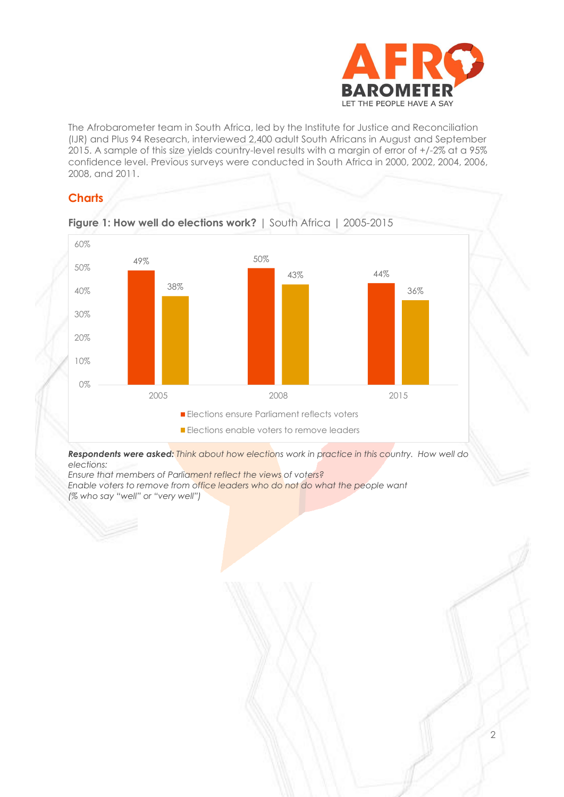

2

The Afrobarometer team in South Africa, led by the Institute for Justice and Reconciliation (IJR) and Plus 94 Research, interviewed 2,400 adult South Africans in August and September 2015. A sample of this size yields country-level results with a margin of error of +/-2% at a 95% confidence level. Previous surveys were conducted in South Africa in 2000, 2002, 2004, 2006, 2008, and 2011.

### **Charts**



**Figure 1: How well do elections work?** | South Africa | 2005-2015

*Respondents were asked: Think about how elections work in practice in this country. How well do elections:* 

*Ensure that members of Parliament reflect the views of voters? Enable voters to remove from office leaders who do not do what the people want (% who say "well" or "very well")*